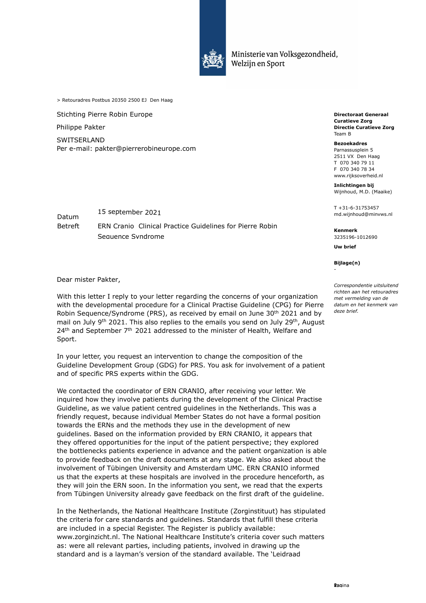

Ministerie van Volksgezondheid, Welzijn en Sport

> Retouradres Postbus 20350 2500 EJ Den Haag

Stichting Pierre Robin Europe

Philippe Pakter

SWITSERLAND Per e-mail: pakter@pierrerobineurope.com

Datum Betreft ERN Cranio Clinical Practice Guidelines for Pierre Robin Sequence Syndrome 15 september 2021

**Directoraat Generaal Curatieve Zorg Directie Curatieve Zorg** Team B

**Bezoekadres**

Parnassusplein 5 2511 VX Den Haag T 070 340 79 11 F 070 340 78 34 www.rijksoverheid.nl

**Inlichtingen bij** Wijnhoud, M.D. (Maaike)

T +31-6-31753457 md.wijnhoud@minvws.nl

**Kenmerk** 3235196-1012690

**Uw brief**

**Bijlage(n)**

-

*Correspondentie uitsluitend richten aan het retouradres met vermelding van de datum en het kenmerk van deze brief.*

Dear mister Pakter,

With this letter I reply to your letter regarding the concerns of your organization with the developmental procedure for a Clinical Practise Guideline (CPG) for Pierre Robin Sequence/Syndrome (PRS), as received by email on June  $30<sup>th</sup>$  2021 and by mail on July 9<sup>th</sup> 2021. This also replies to the emails you send on July 29<sup>th</sup>, August 24<sup>th</sup> and September 7<sup>th</sup> 2021 addressed to the minister of Health, Welfare and Sport.

In your letter, you request an intervention to change the composition of the Guideline Development Group (GDG) for PRS. You ask for involvement of a patient and of specific PRS experts within the GDG.

We contacted the coordinator of ERN CRANIO, after receiving your letter. We inquired how they involve patients during the development of the Clinical Practise Guideline, as we value patient centred guidelines in the Netherlands. This was a friendly request, because individual Member States do not have a formal position towards the ERNs and the methods they use in the development of new guidelines. Based on the information provided by ERN CRANIO, it appears that they offered opportunities for the input of the patient perspective; they explored the bottlenecks patients experience in advance and the patient organization is able to provide feedback on the draft documents at any stage. We also asked about the involvement of Tübingen University and Amsterdam UMC. ERN CRANIO informed us that the experts at these hospitals are involved in the procedure henceforth, as they will join the ERN soon. In the information you sent, we read that the experts from Tübingen University already gave feedback on the first draft of the guideline.

In the Netherlands, the National Healthcare Institute (Zorginstituut) has stipulated the criteria for care standards and guidelines. Standards that fulfill these criteria are included in a special Register. The Register is publicly available: www.zorginzicht.nl. The National Healthcare Institute's criteria cover such matters as: were all relevant parties, including patients, involved in drawing up the standard and is a layman's version of the standard available. The 'Leidraad